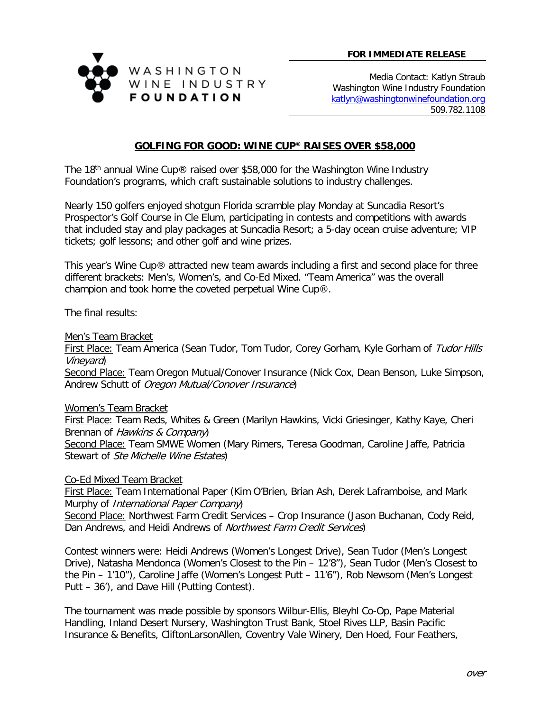

Media Contact: Katlyn Straub Washington Wine Industry Foundation [katlyn@washingtonwinefoundation.org](mailto:katlyn@washingtonwinefoundation.org) 509.782.1108

## **GOLFING FOR GOOD: WINE CUP® RAISES OVER \$58,000**

The 18th annual Wine Cup® raised over \$58,000 for the Washington Wine Industry Foundation's programs, which craft sustainable solutions to industry challenges.

Nearly 150 golfers enjoyed shotgun Florida scramble play Monday at Suncadia Resort's Prospector's Golf Course in Cle Elum, participating in contests and competitions with awards that included stay and play packages at Suncadia Resort; a 5-day ocean cruise adventure; VIP tickets; golf lessons; and other golf and wine prizes.

This year's Wine Cup® attracted new team awards including a first and second place for three different brackets: Men's, Women's, and Co-Ed Mixed. "Team America" was the overall champion and took home the coveted perpetual Wine Cup®.

The final results:

Men's Team Bracket

First Place: Team America (Sean Tudor, Tom Tudor, Corey Gorham, Kyle Gorham of Tudor Hills Vineyard)

Second Place: Team Oregon Mutual/Conover Insurance (Nick Cox, Dean Benson, Luke Simpson, Andrew Schutt of Oregon Mutual/Conover Insurance)

Women's Team Bracket

First Place: Team Reds, Whites & Green (Marilyn Hawkins, Vicki Griesinger, Kathy Kaye, Cheri Brennan of Hawkins & Company)

Second Place: Team SMWE Women (Mary Rimers, Teresa Goodman, Caroline Jaffe, Patricia Stewart of Ste Michelle Wine Estates)

Co-Ed Mixed Team Bracket

First Place: Team International Paper (Kim O'Brien, Brian Ash, Derek Laframboise, and Mark Murphy of *International Paper Company*)

Second Place: Northwest Farm Credit Services – Crop Insurance (Jason Buchanan, Cody Reid, Dan Andrews, and Heidi Andrews of Northwest Farm Credit Services)

Contest winners were: Heidi Andrews (Women's Longest Drive), Sean Tudor (Men's Longest Drive), Natasha Mendonca (Women's Closest to the Pin – 12'8"), Sean Tudor (Men's Closest to the Pin – 1'10"), Caroline Jaffe (Women's Longest Putt – 11'6"), Rob Newsom (Men's Longest Putt – 36'), and Dave Hill (Putting Contest).

The tournament was made possible by sponsors Wilbur-Ellis, Bleyhl Co-Op, Pape Material Handling, Inland Desert Nursery, Washington Trust Bank, Stoel Rives LLP, Basin Pacific Insurance & Benefits, CliftonLarsonAllen, Coventry Vale Winery, Den Hoed, Four Feathers,